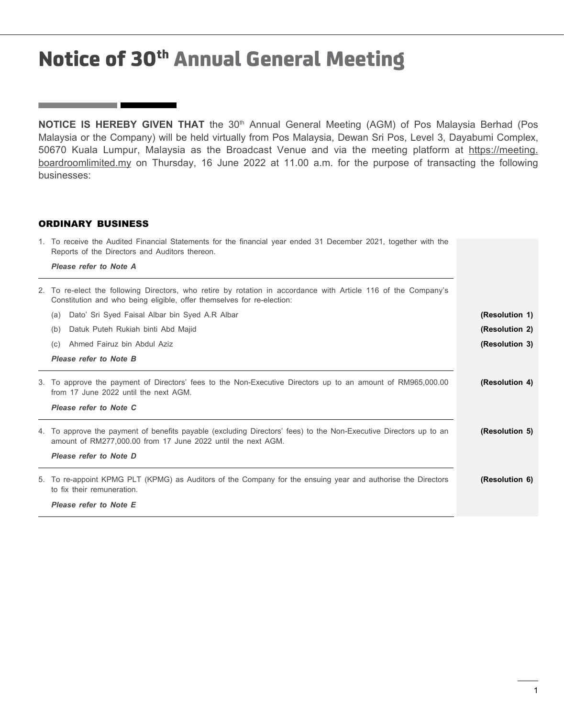**NOTICE IS HEREBY GIVEN THAT** the 30<sup>th</sup> Annual General Meeting (AGM) of Pos Malaysia Berhad (Pos Malaysia or the Company) will be held virtually from Pos Malaysia, Dewan Sri Pos, Level 3, Dayabumi Complex, 50670 Kuala Lumpur, Malaysia as the Broadcast Venue and via the meeting platform at https://meeting. boardroomlimited.my on Thursday, 16 June 2022 at 11.00 a.m. for the purpose of transacting the following businesses:

## ORDINARY BUSINESS

the control of the control of the

| 1. To receive the Audited Financial Statements for the financial year ended 31 December 2021, together with the<br>Reports of the Directors and Auditors thereon. |                                                                                                                                                                                          |                |  |  |  |
|-------------------------------------------------------------------------------------------------------------------------------------------------------------------|------------------------------------------------------------------------------------------------------------------------------------------------------------------------------------------|----------------|--|--|--|
|                                                                                                                                                                   |                                                                                                                                                                                          |                |  |  |  |
|                                                                                                                                                                   | 2. To re-elect the following Directors, who retire by rotation in accordance with Article 116 of the Company's<br>Constitution and who being eligible, offer themselves for re-election: |                |  |  |  |
|                                                                                                                                                                   | Dato' Sri Syed Faisal Albar bin Syed A.R Albar<br>(a)                                                                                                                                    | (Resolution 1) |  |  |  |
|                                                                                                                                                                   | Datuk Puteh Rukiah binti Abd Majid<br>(b)                                                                                                                                                | (Resolution 2) |  |  |  |
|                                                                                                                                                                   | Ahmed Fairuz bin Abdul Aziz<br>(C)                                                                                                                                                       | (Resolution 3) |  |  |  |
|                                                                                                                                                                   | Please refer to Note B                                                                                                                                                                   |                |  |  |  |
|                                                                                                                                                                   | 3. To approve the payment of Directors' fees to the Non-Executive Directors up to an amount of RM965,000.00<br>from 17 June 2022 until the next AGM.                                     | (Resolution 4) |  |  |  |
|                                                                                                                                                                   | Please refer to Note C                                                                                                                                                                   |                |  |  |  |
|                                                                                                                                                                   | 4. To approve the payment of benefits payable (excluding Directors' fees) to the Non-Executive Directors up to an<br>amount of RM277,000.00 from 17 June 2022 until the next AGM.        | (Resolution 5) |  |  |  |
|                                                                                                                                                                   | Please refer to Note D                                                                                                                                                                   |                |  |  |  |
|                                                                                                                                                                   | 5. To re-appoint KPMG PLT (KPMG) as Auditors of the Company for the ensuing year and authorise the Directors<br>to fix their remuneration.                                               | (Resolution 6) |  |  |  |
|                                                                                                                                                                   | Please refer to Note E                                                                                                                                                                   |                |  |  |  |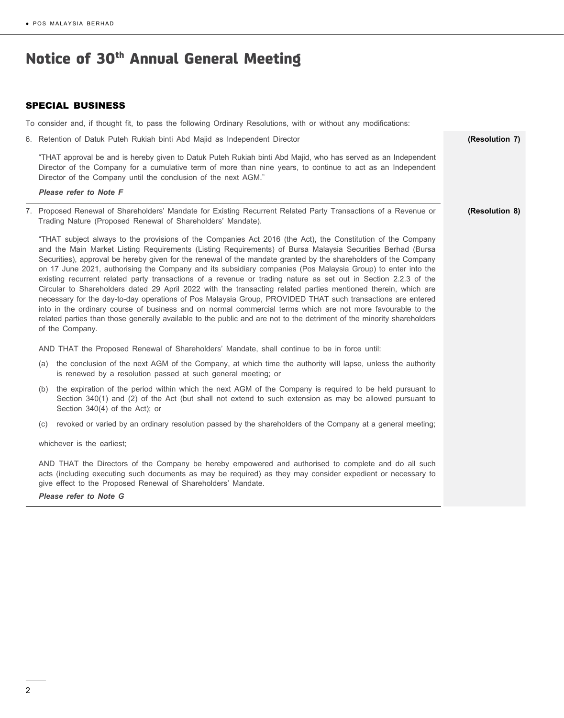## SPECIAL BUSINESS

To consider and, if thought fit, to pass the following Ordinary Resolutions, with or without any modifications:

| 6. Retention of Datuk Puteh Rukiah binti Abd Majid as Independent Director                                                                                                                                                                                                                                                                                                                                                                                                                                                                                                                                                                                                                                                                                                                                                                                                                                                                                                                                                                                                  | (Resolution 7) |  |  |  |
|-----------------------------------------------------------------------------------------------------------------------------------------------------------------------------------------------------------------------------------------------------------------------------------------------------------------------------------------------------------------------------------------------------------------------------------------------------------------------------------------------------------------------------------------------------------------------------------------------------------------------------------------------------------------------------------------------------------------------------------------------------------------------------------------------------------------------------------------------------------------------------------------------------------------------------------------------------------------------------------------------------------------------------------------------------------------------------|----------------|--|--|--|
| "THAT approval be and is hereby given to Datuk Puteh Rukiah binti Abd Majid, who has served as an Independent<br>Director of the Company for a cumulative term of more than nine years, to continue to act as an Independent<br>Director of the Company until the conclusion of the next AGM."                                                                                                                                                                                                                                                                                                                                                                                                                                                                                                                                                                                                                                                                                                                                                                              |                |  |  |  |
| Please refer to Note F                                                                                                                                                                                                                                                                                                                                                                                                                                                                                                                                                                                                                                                                                                                                                                                                                                                                                                                                                                                                                                                      |                |  |  |  |
| 7. Proposed Renewal of Shareholders' Mandate for Existing Recurrent Related Party Transactions of a Revenue or<br>Trading Nature (Proposed Renewal of Shareholders' Mandate).                                                                                                                                                                                                                                                                                                                                                                                                                                                                                                                                                                                                                                                                                                                                                                                                                                                                                               | (Resolution 8) |  |  |  |
| "THAT subject always to the provisions of the Companies Act 2016 (the Act), the Constitution of the Company<br>and the Main Market Listing Requirements (Listing Requirements) of Bursa Malaysia Securities Berhad (Bursa<br>Securities), approval be hereby given for the renewal of the mandate granted by the shareholders of the Company<br>on 17 June 2021, authorising the Company and its subsidiary companies (Pos Malaysia Group) to enter into the<br>existing recurrent related party transactions of a revenue or trading nature as set out in Section 2.2.3 of the<br>Circular to Shareholders dated 29 April 2022 with the transacting related parties mentioned therein, which are<br>necessary for the day-to-day operations of Pos Malaysia Group, PROVIDED THAT such transactions are entered<br>into in the ordinary course of business and on normal commercial terms which are not more favourable to the<br>related parties than those generally available to the public and are not to the detriment of the minority shareholders<br>of the Company. |                |  |  |  |
| AND THAT the Proposed Renewal of Shareholders' Mandate, shall continue to be in force until:                                                                                                                                                                                                                                                                                                                                                                                                                                                                                                                                                                                                                                                                                                                                                                                                                                                                                                                                                                                |                |  |  |  |
| the conclusion of the next AGM of the Company, at which time the authority will lapse, unless the authority<br>(a)<br>is renewed by a resolution passed at such general meeting; or                                                                                                                                                                                                                                                                                                                                                                                                                                                                                                                                                                                                                                                                                                                                                                                                                                                                                         |                |  |  |  |
| the expiration of the period within which the next AGM of the Company is required to be held pursuant to<br>(b)<br>Section 340(1) and (2) of the Act (but shall not extend to such extension as may be allowed pursuant to<br>Section 340(4) of the Act); or                                                                                                                                                                                                                                                                                                                                                                                                                                                                                                                                                                                                                                                                                                                                                                                                                |                |  |  |  |
| revoked or varied by an ordinary resolution passed by the shareholders of the Company at a general meeting;<br>(C)                                                                                                                                                                                                                                                                                                                                                                                                                                                                                                                                                                                                                                                                                                                                                                                                                                                                                                                                                          |                |  |  |  |
| whichever is the earliest;                                                                                                                                                                                                                                                                                                                                                                                                                                                                                                                                                                                                                                                                                                                                                                                                                                                                                                                                                                                                                                                  |                |  |  |  |
| AND THAT the Directors of the Company be hereby empowered and authorised to complete and do all such<br>acts (including executing such documents as may be required) as they may consider expedient or necessary to<br>give effect to the Proposed Renewal of Shareholders' Mandate.<br>Please refer to Note G                                                                                                                                                                                                                                                                                                                                                                                                                                                                                                                                                                                                                                                                                                                                                              |                |  |  |  |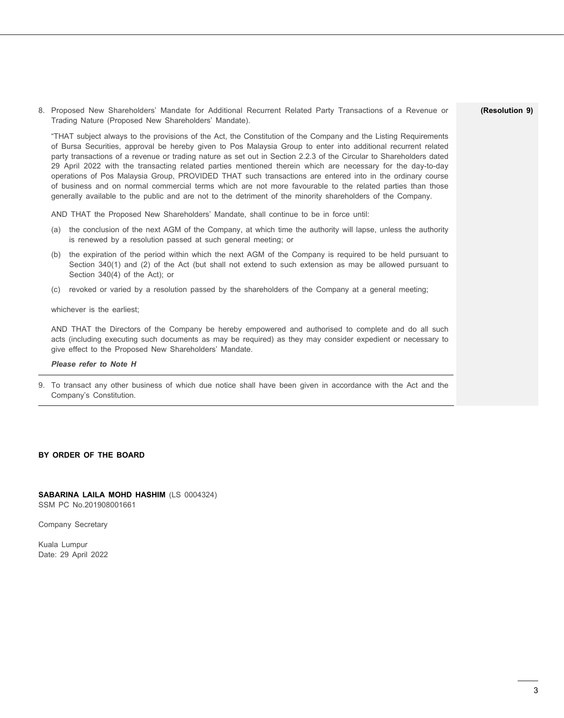8. Proposed New Shareholders' Mandate for Additional Recurrent Related Party Transactions of a Revenue or Trading Nature (Proposed New Shareholders' Mandate).

"THAT subject always to the provisions of the Act, the Constitution of the Company and the Listing Requirements of Bursa Securities, approval be hereby given to Pos Malaysia Group to enter into additional recurrent related party transactions of a revenue or trading nature as set out in Section 2.2.3 of the Circular to Shareholders dated 29 April 2022 with the transacting related parties mentioned therein which are necessary for the day-to-day operations of Pos Malaysia Group, PROVIDED THAT such transactions are entered into in the ordinary course of business and on normal commercial terms which are not more favourable to the related parties than those generally available to the public and are not to the detriment of the minority shareholders of the Company.

AND THAT the Proposed New Shareholders' Mandate, shall continue to be in force until:

- (a) the conclusion of the next AGM of the Company, at which time the authority will lapse, unless the authority is renewed by a resolution passed at such general meeting; or
- (b) the expiration of the period within which the next AGM of the Company is required to be held pursuant to Section 340(1) and (2) of the Act (but shall not extend to such extension as may be allowed pursuant to Section 340(4) of the Act); or
- (c) revoked or varied by a resolution passed by the shareholders of the Company at a general meeting;

whichever is the earliest:

AND THAT the Directors of the Company be hereby empowered and authorised to complete and do all such acts (including executing such documents as may be required) as they may consider expedient or necessary to give effect to the Proposed New Shareholders' Mandate.

#### *Please refer to Note H*

9. To transact any other business of which due notice shall have been given in accordance with the Act and the Company's Constitution.

### **BY ORDER OF THE BOARD**

#### **SABARINA LAILA MOHD HASHIM** (LS 0004324) SSM PC No.201908001661

Company Secretary

Kuala Lumpur Date: 29 April 2022

#### **(Resolution 9)**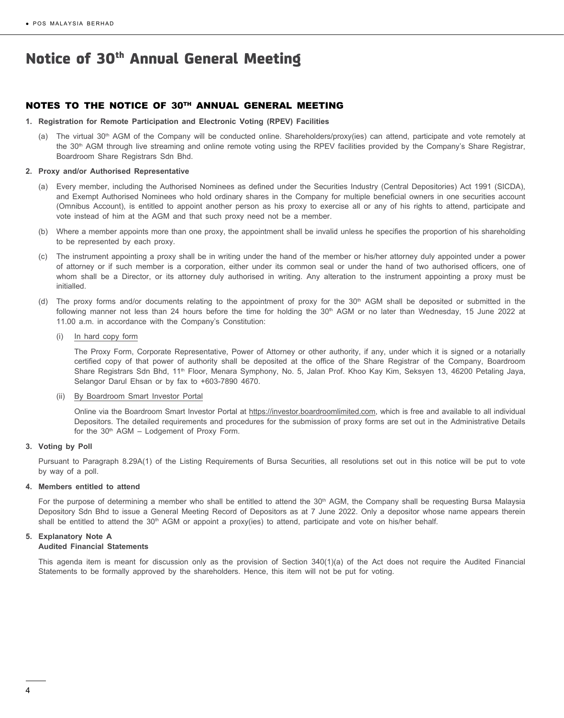## NOTES TO THE NOTICE OF 30TH ANNUAL GENERAL MEETING

- **1. Registration for Remote Participation and Electronic Voting (RPEV) Facilities**
	- (a) The virtual 30<sup>th</sup> AGM of the Company will be conducted online. Shareholders/proxy(ies) can attend, participate and vote remotely at the 30<sup>th</sup> AGM through live streaming and online remote voting using the RPEV facilities provided by the Company's Share Registrar, Boardroom Share Registrars Sdn Bhd.

#### **2. Proxy and/or Authorised Representative**

- (a) Every member, including the Authorised Nominees as defined under the Securities Industry (Central Depositories) Act 1991 (SICDA), and Exempt Authorised Nominees who hold ordinary shares in the Company for multiple beneficial owners in one securities account (Omnibus Account), is entitled to appoint another person as his proxy to exercise all or any of his rights to attend, participate and vote instead of him at the AGM and that such proxy need not be a member.
- (b) Where a member appoints more than one proxy, the appointment shall be invalid unless he specifies the proportion of his shareholding to be represented by each proxy.
- (c) The instrument appointing a proxy shall be in writing under the hand of the member or his/her attorney duly appointed under a power of attorney or if such member is a corporation, either under its common seal or under the hand of two authorised officers, one of whom shall be a Director, or its attorney duly authorised in writing. Any alteration to the instrument appointing a proxy must be initialled.
- (d) The proxy forms and/or documents relating to the appointment of proxy for the  $30<sup>th</sup>$  AGM shall be deposited or submitted in the following manner not less than 24 hours before the time for holding the 30<sup>th</sup> AGM or no later than Wednesday, 15 June 2022 at 11.00 a.m. in accordance with the Company's Constitution:
	- (i) In hard copy form

The Proxy Form, Corporate Representative, Power of Attorney or other authority, if any, under which it is signed or a notarially certified copy of that power of authority shall be deposited at the office of the Share Registrar of the Company, Boardroom Share Registrars Sdn Bhd, 11<sup>th</sup> Floor, Menara Symphony, No. 5, Jalan Prof. Khoo Kay Kim, Seksyen 13, 46200 Petaling Jaya, Selangor Darul Ehsan or by fax to +603-7890 4670.

#### (ii) By Boardroom Smart Investor Portal

Online via the Boardroom Smart Investor Portal at https://investor.boardroomlimited.com, which is free and available to all individual Depositors. The detailed requirements and procedures for the submission of proxy forms are set out in the Administrative Details for the  $30<sup>th</sup>$  AGM – Lodgement of Proxy Form.

#### **3. Voting by Poll**

Pursuant to Paragraph 8.29A(1) of the Listing Requirements of Bursa Securities, all resolutions set out in this notice will be put to vote by way of a poll.

#### **4. Members entitled to attend**

For the purpose of determining a member who shall be entitled to attend the 30<sup>th</sup> AGM, the Company shall be requesting Bursa Malaysia Depository Sdn Bhd to issue a General Meeting Record of Depositors as at 7 June 2022. Only a depositor whose name appears therein shall be entitled to attend the  $30<sup>th</sup>$  AGM or appoint a proxy(ies) to attend, participate and vote on his/her behalf.

## **5. Explanatory Note A**

## **Audited Financial Statements**

This agenda item is meant for discussion only as the provision of Section 340(1)(a) of the Act does not require the Audited Financial Statements to be formally approved by the shareholders. Hence, this item will not be put for voting.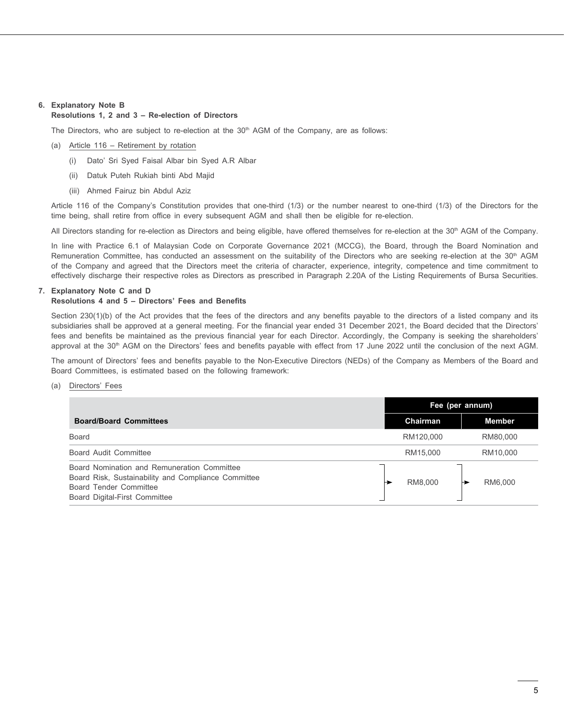## **6. Explanatory Note B**

## **Resolutions 1, 2 and 3 – Re-election of Directors**

The Directors, who are subject to re-election at the 30<sup>th</sup> AGM of the Company, are as follows:

- (a) Article 116 Retirement by rotation
	- (i) Dato' Sri Syed Faisal Albar bin Syed A.R Albar
	- (ii) Datuk Puteh Rukiah binti Abd Majid
	- (iii) Ahmed Fairuz bin Abdul Aziz

Article 116 of the Company's Constitution provides that one-third (1/3) or the number nearest to one-third (1/3) of the Directors for the time being, shall retire from office in every subsequent AGM and shall then be eligible for re-election.

All Directors standing for re-election as Directors and being eligible, have offered themselves for re-election at the 30<sup>th</sup> AGM of the Company.

In line with Practice 6.1 of Malaysian Code on Corporate Governance 2021 (MCCG), the Board, through the Board Nomination and Remuneration Committee, has conducted an assessment on the suitability of the Directors who are seeking re-election at the 30<sup>th</sup> AGM of the Company and agreed that the Directors meet the criteria of character, experience, integrity, competence and time commitment to effectively discharge their respective roles as Directors as prescribed in Paragraph 2.20A of the Listing Requirements of Bursa Securities.

## **7. Explanatory Note C and D**

## **Resolutions 4 and 5 – Directors' Fees and Benefits**

Section 230(1)(b) of the Act provides that the fees of the directors and any benefits payable to the directors of a listed company and its subsidiaries shall be approved at a general meeting. For the financial year ended 31 December 2021, the Board decided that the Directors' fees and benefits be maintained as the previous financial year for each Director. Accordingly, the Company is seeking the shareholders' approval at the 30<sup>th</sup> AGM on the Directors' fees and benefits payable with effect from 17 June 2022 until the conclusion of the next AGM.

The amount of Directors' fees and benefits payable to the Non-Executive Directors (NEDs) of the Company as Members of the Board and Board Committees, is estimated based on the following framework:

## (a) Directors' Fees

|                                                                                                                                                               | Fee (per annum) |               |
|---------------------------------------------------------------------------------------------------------------------------------------------------------------|-----------------|---------------|
| <b>Board/Board Committees</b>                                                                                                                                 | Chairman        | <b>Member</b> |
| <b>Board</b>                                                                                                                                                  | RM120,000       | RM80.000      |
| Board Audit Committee                                                                                                                                         | RM15,000        | RM10,000      |
| Board Nomination and Remuneration Committee<br>Board Risk, Sustainability and Compliance Committee<br>Board Tender Committee<br>Board Digital-First Committee | RM8.000         | RM6.000       |